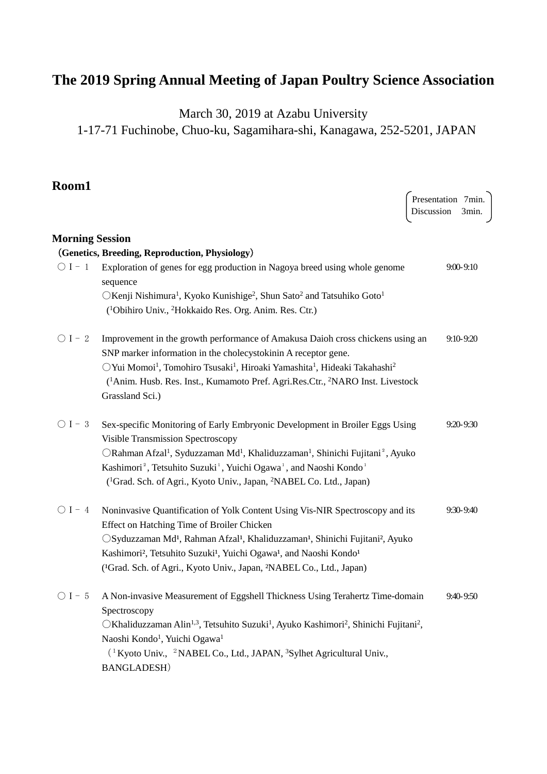# **The 2019 Spring Annual Meeting of Japan Poultry Science Association**

March 30, 2019 at Azabu University

1-17-71 Fuchinobe, Chuo-ku, Sagamihara-shi, Kanagawa, 252-5201, JAPAN

**Room1** 

|                        |                                                                                                                                      | Presentation 7min.<br>Discussion | 3min.         |
|------------------------|--------------------------------------------------------------------------------------------------------------------------------------|----------------------------------|---------------|
| <b>Morning Session</b> |                                                                                                                                      |                                  |               |
|                        | (Genetics, Breeding, Reproduction, Physiology)                                                                                       |                                  |               |
| $\bigcirc$ I - 1       | Exploration of genes for egg production in Nagoya breed using whole genome<br>sequence                                               |                                  | $9:00 - 9:10$ |
|                        | $\bigcirc$ Kenji Nishimura <sup>1</sup> , Kyoko Kunishige <sup>2</sup> , Shun Sato <sup>2</sup> and Tatsuhiko Goto <sup>1</sup>      |                                  |               |
|                        | ( <sup>1</sup> Obihiro Univ., <sup>2</sup> Hokkaido Res. Org. Anim. Res. Ctr.)                                                       |                                  |               |
| $\bigcirc$ I – 2       | Improvement in the growth performance of Amakusa Daioh cross chickens using an                                                       |                                  | $9:10 - 9:20$ |
|                        | SNP marker information in the cholecystokinin A receptor gene.                                                                       |                                  |               |
|                        | O Yui Momoi <sup>1</sup> , Tomohiro Tsusaki <sup>1</sup> , Hiroaki Yamashita <sup>1</sup> , Hideaki Takahashi <sup>2</sup>           |                                  |               |
|                        | ( <sup>1</sup> Anim. Husb. Res. Inst., Kumamoto Pref. Agri. Res. Ctr., <sup>2</sup> NARO Inst. Livestock                             |                                  |               |
|                        | Grassland Sci.)                                                                                                                      |                                  |               |
| $\bigcirc$ I - 3       | Sex-specific Monitoring of Early Embryonic Development in Broiler Eggs Using                                                         |                                  | $9:20 - 9:30$ |
|                        | <b>Visible Transmission Spectroscopy</b>                                                                                             |                                  |               |
|                        | ○Rahman Afzal <sup>1</sup> , Syduzzaman Md <sup>1</sup> , Khaliduzzaman <sup>1</sup> , Shinichi Fujitani <sup>2</sup> , Ayuko        |                                  |               |
|                        | Kashimori <sup>2</sup> , Tetsuhito Suzuki <sup>1</sup> , Yuichi Ogawa <sup>1</sup> , and Naoshi Kondo <sup>1</sup>                   |                                  |               |
|                        | ( <sup>1</sup> Grad. Sch. of Agri., Kyoto Univ., Japan, <sup>2</sup> NABEL Co. Ltd., Japan)                                          |                                  |               |
| $\bigcirc$ I - 4       | Noninvasive Quantification of Yolk Content Using Vis-NIR Spectroscopy and its                                                        |                                  | 9:30-9:40     |
|                        | Effect on Hatching Time of Broiler Chicken                                                                                           |                                  |               |
|                        | ○Syduzzaman Md <sup>1</sup> , Rahman Afzal <sup>1</sup> , Khaliduzzaman <sup>1</sup> , Shinichi Fujitani <sup>2</sup> , Ayuko        |                                  |               |
|                        | Kashimori <sup>2</sup> , Tetsuhito Suzuki <sup>1</sup> , Yuichi Ogawa <sup>1</sup> , and Naoshi Kondo <sup>1</sup>                   |                                  |               |
|                        | ( <sup>1</sup> Grad. Sch. of Agri., Kyoto Univ., Japan, <sup>2</sup> NABEL Co., Ltd., Japan)                                         |                                  |               |
| $\bigcirc$ I – 5       | A Non-invasive Measurement of Eggshell Thickness Using Terahertz Time-domain                                                         |                                  | 9:40-9:50     |
|                        | Spectroscopy                                                                                                                         |                                  |               |
|                        | ○Khaliduzzaman Alin <sup>1,3</sup> , Tetsuhito Suzuki <sup>1</sup> , Ayuko Kashimori <sup>2</sup> , Shinichi Fujitani <sup>2</sup> , |                                  |               |
|                        | Naoshi Kondo <sup>1</sup> , Yuichi Ogawa <sup>1</sup>                                                                                |                                  |               |
|                        | <sup>(1</sup> Kyoto Univ., <sup>2</sup> NABEL Co., Ltd., JAPAN, <sup>3</sup> Sylhet Agricultural Univ.,                              |                                  |               |
|                        | <b>BANGLADESH</b> )                                                                                                                  |                                  |               |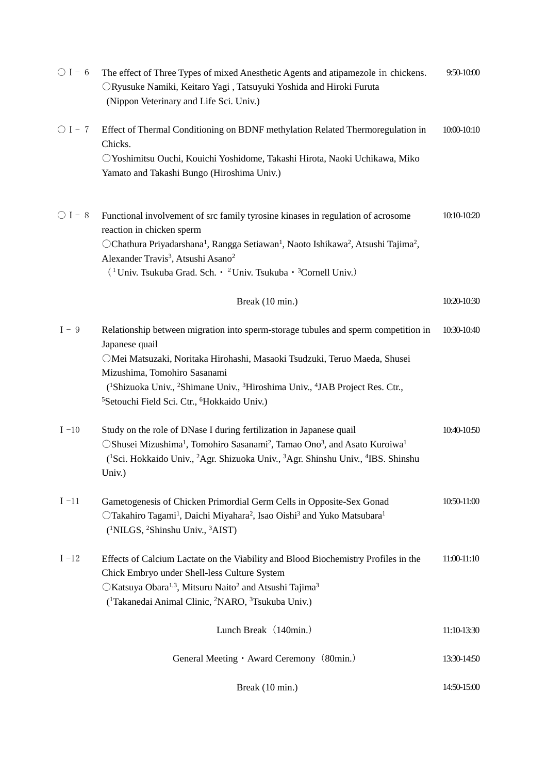| $\bigcirc$ I - 6 | The effect of Three Types of mixed Anesthetic Agents and atipamezole in chickens.<br>ORyusuke Namiki, Keitaro Yagi, Tatsuyuki Yoshida and Hiroki Furuta<br>(Nippon Veterinary and Life Sci. Univ.)                                                                                                                                                                                                                       | 9:50-10:00  |
|------------------|--------------------------------------------------------------------------------------------------------------------------------------------------------------------------------------------------------------------------------------------------------------------------------------------------------------------------------------------------------------------------------------------------------------------------|-------------|
| $\bigcirc$ I - 7 | Effect of Thermal Conditioning on BDNF methylation Related Thermoregulation in<br>Chicks.<br>O Yoshimitsu Ouchi, Kouichi Yoshidome, Takashi Hirota, Naoki Uchikawa, Miko<br>Yamato and Takashi Bungo (Hiroshima Univ.)                                                                                                                                                                                                   | 10:00-10:10 |
| $\bigcirc$ I – 8 | Functional involvement of src family tyrosine kinases in regulation of acrosome<br>reaction in chicken sperm<br>OChathura Priyadarshana <sup>1</sup> , Rangga Setiawan <sup>1</sup> , Naoto Ishikawa <sup>2</sup> , Atsushi Tajima <sup>2</sup> ,<br>Alexander Travis <sup>3</sup> , Atsushi Asano <sup>2</sup><br><sup>(1</sup> Univ. Tsukuba Grad. Sch. • <sup>2</sup> Univ. Tsukuba • <sup>3</sup> Cornell Univ.)     | 10:10-10:20 |
|                  | Break (10 min.)                                                                                                                                                                                                                                                                                                                                                                                                          | 10:20-10:30 |
| $I - 9$          | Relationship between migration into sperm-storage tubules and sperm competition in<br>Japanese quail<br>OMei Matsuzaki, Noritaka Hirohashi, Masaoki Tsudzuki, Teruo Maeda, Shusei<br>Mizushima, Tomohiro Sasanami<br>( <sup>1</sup> Shizuoka Univ., <sup>2</sup> Shimane Univ., <sup>3</sup> Hiroshima Univ., <sup>4</sup> JAB Project Res. Ctr.,<br><sup>5</sup> Setouchi Field Sci. Ctr., <sup>6</sup> Hokkaido Univ.) | 10:30-10:40 |
| $I - 10$         | Study on the role of DNase I during fertilization in Japanese quail<br>OShusei Mizushima <sup>1</sup> , Tomohiro Sasanami <sup>2</sup> , Tamao Ono <sup>3</sup> , and Asato Kuroiwa <sup>1</sup><br><sup>1</sup> Sci. Hokkaido Univ., <sup>2</sup> Agr. Shizuoka Univ., <sup>3</sup> Agr. Shinshu Univ., <sup>4</sup> IBS. Shinshu<br>Univ.)                                                                             | 10:40-10:50 |
| $I - 11$         | Gametogenesis of Chicken Primordial Germ Cells in Opposite-Sex Gonad<br>OTakahiro Tagami <sup>1</sup> , Daichi Miyahara <sup>2</sup> , Isao Oishi <sup>3</sup> and Yuko Matsubara <sup>1</sup><br>( <sup>1</sup> NILGS, <sup>2</sup> Shinshu Univ., <sup>3</sup> AIST)                                                                                                                                                   | 10:50-11:00 |
| $I - 12$         | Effects of Calcium Lactate on the Viability and Blood Biochemistry Profiles in the<br>Chick Embryo under Shell-less Culture System<br>○Katsuya Obara <sup>1,3</sup> , Mitsuru Naito <sup>2</sup> and Atsushi Tajima <sup>3</sup><br>( <sup>1</sup> Takanedai Animal Clinic, <sup>2</sup> NARO, <sup>3</sup> Tsukuba Univ.)                                                                                               | 11:00-11:10 |
|                  | Lunch Break (140min.)                                                                                                                                                                                                                                                                                                                                                                                                    | 11:10-13:30 |
|                  | General Meeting • Award Ceremony (80min.)                                                                                                                                                                                                                                                                                                                                                                                | 13:30-14:50 |
|                  | Break (10 min.)                                                                                                                                                                                                                                                                                                                                                                                                          | 14:50-15:00 |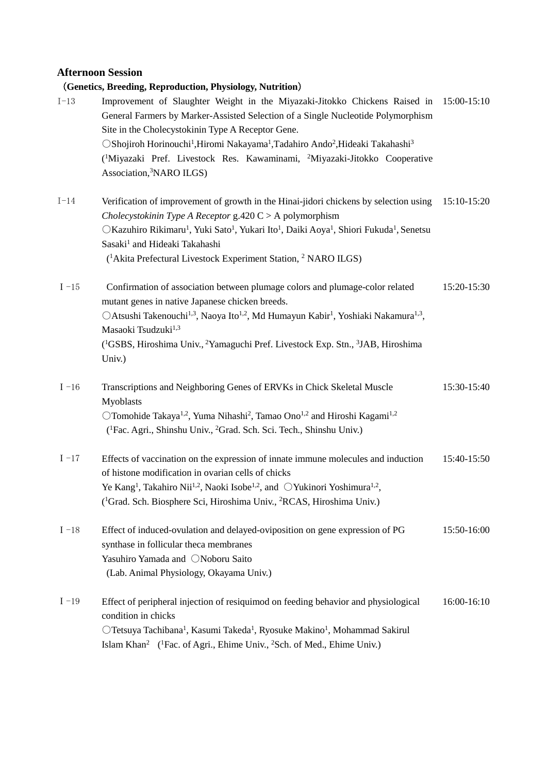# **Afternoon Session**

|          | (Genetics, Breeding, Reproduction, Physiology, Nutrition)                                                                                                                                                                                                                                                                                                                                                                                                                                           |             |
|----------|-----------------------------------------------------------------------------------------------------------------------------------------------------------------------------------------------------------------------------------------------------------------------------------------------------------------------------------------------------------------------------------------------------------------------------------------------------------------------------------------------------|-------------|
| $I-13$   | Improvement of Slaughter Weight in the Miyazaki-Jitokko Chickens Raised in<br>General Farmers by Marker-Assisted Selection of a Single Nucleotide Polymorphism<br>Site in the Cholecystokinin Type A Receptor Gene.<br>OShojiroh Horinouchi <sup>1</sup> , Hiromi Nakayama <sup>1</sup> , Tadahiro Ando <sup>2</sup> , Hideaki Takahashi <sup>3</sup><br>( <sup>1</sup> Miyazaki Pref. Livestock Res. Kawaminami, <sup>2</sup> Miyazaki-Jitokko Cooperative<br>Association, <sup>3</sup> NARO ILGS) | 15:00-15:10 |
| $I-14$   | Verification of improvement of growth in the Hinai-jidori chickens by selection using<br>Cholecystokinin Type A Receptor $g.420 C > A$ polymorphism<br>OKazuhiro Rikimaru <sup>1</sup> , Yuki Sato <sup>1</sup> , Yukari Ito <sup>1</sup> , Daiki Aoya <sup>1</sup> , Shiori Fukuda <sup>1</sup> , Senetsu<br>Sasaki <sup>1</sup> and Hideaki Takahashi<br>( <sup>1</sup> Akita Prefectural Livestock Experiment Station, <sup>2</sup> NARO ILGS)                                                   | 15:10-15:20 |
| $I - 15$ | Confirmation of association between plumage colors and plumage-color related<br>mutant genes in native Japanese chicken breeds.<br>○Atsushi Takenouchi <sup>1,3</sup> , Naoya Ito <sup>1,2</sup> , Md Humayun Kabir <sup>1</sup> , Yoshiaki Nakamura <sup>1,3</sup> ,<br>Masaoki Tsudzuki <sup>1,3</sup><br>( <sup>1</sup> GSBS, Hiroshima Univ., <sup>2</sup> Yamaguchi Pref. Livestock Exp. Stn., <sup>3</sup> JAB, Hiroshima<br>Univ.)                                                           | 15:20-15:30 |
| $I - 16$ | Transcriptions and Neighboring Genes of ERVKs in Chick Skeletal Muscle<br>Myoblasts<br>OTomohide Takaya <sup>1,2</sup> , Yuma Nihashi <sup>2</sup> , Tamao Ono <sup>1,2</sup> and Hiroshi Kagami <sup>1,2</sup><br>( <sup>1</sup> Fac. Agri., Shinshu Univ., <sup>2</sup> Grad. Sch. Sci. Tech., Shinshu Univ.)                                                                                                                                                                                     | 15:30-15:40 |
| $I - 17$ | Effects of vaccination on the expression of innate immune molecules and induction<br>of histone modification in ovarian cells of chicks<br>Ye Kang <sup>1</sup> , Takahiro Nii <sup>1,2</sup> , Naoki Isobe <sup>1,2</sup> , and ○Yukinori Yoshimura <sup>1,2</sup> ,<br>( <sup>1</sup> Grad. Sch. Biosphere Sci, Hiroshima Univ., <sup>2</sup> RCAS, Hiroshima Univ.)                                                                                                                              | 15:40-15:50 |
| $I - 18$ | Effect of induced-ovulation and delayed-oviposition on gene expression of PG<br>synthase in follicular theca membranes<br>Yasuhiro Yamada and ONoboru Saito<br>(Lab. Animal Physiology, Okayama Univ.)                                                                                                                                                                                                                                                                                              | 15:50-16:00 |
| $I - 19$ | Effect of peripheral injection of resiquimod on feeding behavior and physiological<br>condition in chicks<br>OTetsuya Tachibana <sup>1</sup> , Kasumi Takeda <sup>1</sup> , Ryosuke Makino <sup>1</sup> , Mohammad Sakirul<br>Islam Khan <sup>2</sup> ( <sup>1</sup> Fac. of Agri., Ehime Univ., <sup>2</sup> Sch. of Med., Ehime Univ.)                                                                                                                                                            | 16:00-16:10 |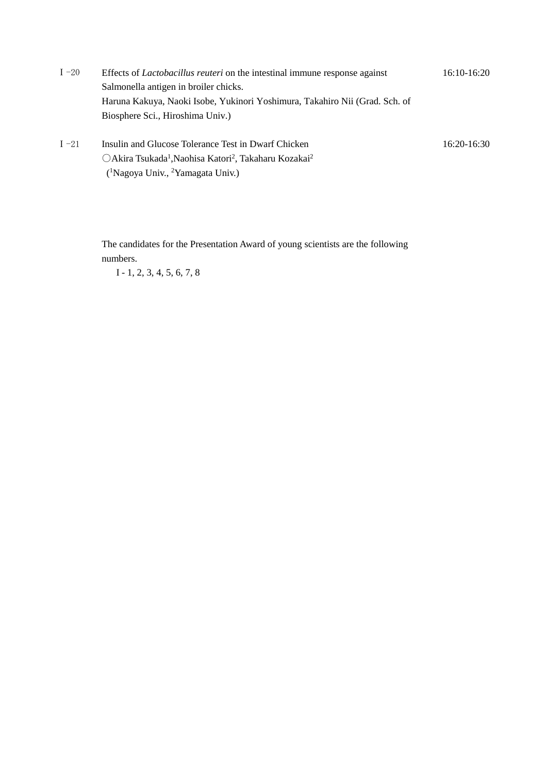Ⅰ-20 Effects of *Lactobacillus reuteri* on the intestinal immune response against Salmonella antigen in broiler chicks. Haruna Kakuya, Naoki Isobe, Yukinori Yoshimura, Takahiro Nii (Grad. Sch. of Biosphere Sci., Hiroshima Univ.) 16:10-16:20

16:20-16:30

I-21 Insulin and Glucose Tolerance Test in Dwarf Chicken ○Akira Tsukada1,Naohisa Katori2, Takaharu Kozakai2 (1Nagoya Univ., 2Yamagata Univ.)

> The candidates for the Presentation Award of young scientists are the following numbers.

I - 1, 2, 3, 4, 5, 6, 7, 8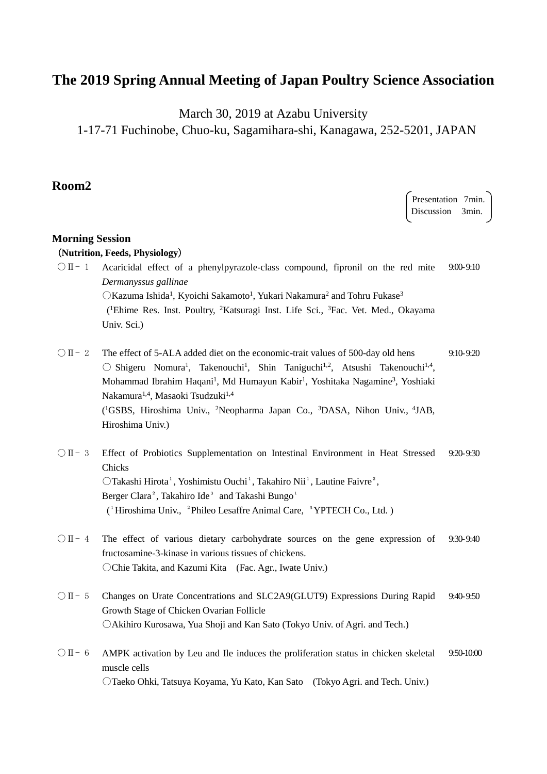# **The 2019 Spring Annual Meeting of Japan Poultry Science Association**

March 30, 2019 at Azabu University

1-17-71 Fuchinobe, Chuo-ku, Sagamihara-shi, Kanagawa, 252-5201, JAPAN

## **Room2**

Presentation 7min. Discussion 3min. **Morning Session** (**Nutrition, Feeds, Physiology**)  $\bigcirc$  II-1 Acaricidal effect of a phenylpyrazole-class compound, fipronil on the red mite *Dermanyssus gallinae* OKazuma Ishida<sup>1</sup>, Kyoichi Sakamoto<sup>1</sup>, Yukari Nakamura<sup>2</sup> and Tohru Fukase<sup>3</sup> (1Ehime Res. Inst. Poultry, 2Katsuragi Inst. Life Sci., 3Fac. Vet. Med., Okayama Univ. Sci.) 9:00-9:10  $\overline{O}$  II - 2 The effect of 5-ALA added diet on the economic-trait values of 500-day old hens  $\bigcirc$  Shigeru Nomura<sup>1</sup>, Takenouchi<sup>1</sup>, Shin Taniguchi<sup>1,2</sup>, Atsushi Takenouchi<sup>1,4</sup>, Mohammad Ibrahim Haqani<sup>1</sup>, Md Humayun Kabir<sup>1</sup>, Yoshitaka Nagamine<sup>3</sup>, Yoshiaki Nakamura<sup>1,4</sup>, Masaoki Tsudzuki<sup>1,4</sup> (1 GSBS, Hiroshima Univ., 2 Neopharma Japan Co., 3 DASA, Nihon Univ., 4JAB, Hiroshima Univ.) 9:10-9:20

## ○Ⅱ- 3 Effect of Probiotics Supplementation on Intestinal Environment in Heat Stressed Chicks OTakashi Hirota<sup>1</sup>, Yoshimistu Ouchi<sup>1</sup>, Takahiro Nii<sup>1</sup>, Lautine Faivre<sup>2</sup>, Berger Clara<sup>2</sup>, Takahiro Ide<sup>3</sup> and Takashi Bungo<sup>1</sup> (<sup>1</sup>Hiroshima Univ., <sup>2</sup>Phileo Lesaffre Animal Care, <sup>3</sup>YPTECH Co., Ltd.) 9:20-9:30

- $\overline{O}$  II 4 The effect of various dietary carbohydrate sources on the gene expression of fructosamine-3-kinase in various tissues of chickens. ○Chie Takita, and Kazumi Kita (Fac. Agr., Iwate Univ.) 9:30-9:40
- ○Ⅱ- 5 Changes on Urate Concentrations and SLC2A9(GLUT9) Expressions During Rapid Growth Stage of Chicken Ovarian Follicle ○Akihiro Kurosawa, Yua Shoji and Kan Sato (Tokyo Univ. of Agri. and Tech.) 9:40-9:50
- ○Ⅱ- 6 AMPK activation by Leu and Ile induces the proliferation status in chicken skeletal muscle cells ○Taeko Ohki, Tatsuya Koyama, Yu Kato, Kan Sato (Tokyo Agri. and Tech. Univ.) 9:50-10:00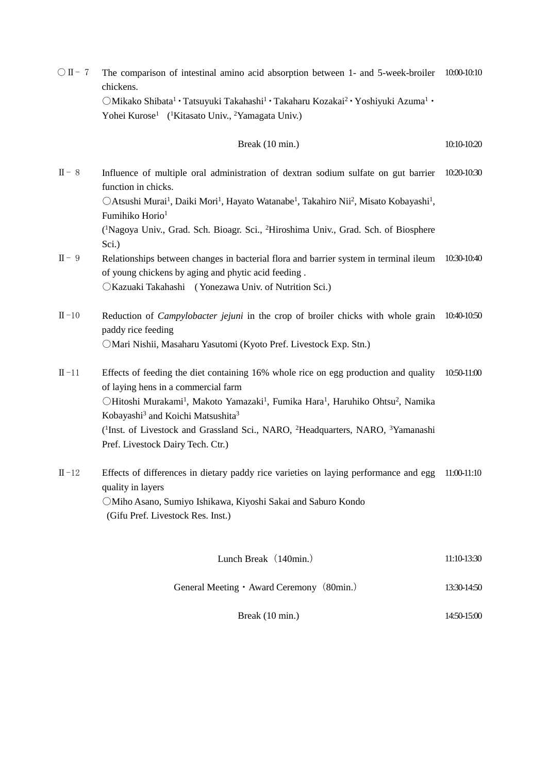○Ⅱ- 7 The comparison of intestinal amino acid absorption between 1- and 5-week-broiler 10:00-10:10 chickens.

> OMikako Shibata<sup>1</sup> · Tatsuyuki Takahashi<sup>1</sup> · Takaharu Kozakai<sup>2</sup> · Yoshiyuki Azuma<sup>1</sup> · Yohei Kurose<sup>1</sup> (<sup>1</sup>Kitasato Univ., <sup>2</sup>Yamagata Univ.)

Break (10 min.) 10:10-10:20

Ⅱ- 8 Influence of multiple oral administration of dextran sodium sulfate on gut barrier 10:20-10:30 function in chicks.

OAtsushi Murai<sup>1</sup>, Daiki Mori<sup>1</sup>, Hayato Watanabe<sup>1</sup>, Takahiro Nii<sup>2</sup>, Misato Kobayashi<sup>1</sup>, Fumihiko Horio<sup>1</sup>

(1 Nagoya Univ., Grad. Sch. Bioagr. Sci., 2Hiroshima Univ., Grad. Sch. of Biosphere Sci.)

Ⅱ- 9 Relationships between changes in bacterial flora and barrier system in terminal ileum 10:30-10:40 of young chickens by aging and phytic acid feeding . ○Kazuaki Takahashi ( Yonezawa Univ. of Nutrition Sci.)

Ⅱ-10 Reduction of *Campylobacter jejuni* in the crop of broiler chicks with whole grain 10:40-10:50 paddy rice feeding ○Mari Nishii, Masaharu Yasutomi (Kyoto Pref. Livestock Exp. Stn.)

- Ⅱ-11 Effects of feeding the diet containing 16% whole rice on egg production and quality of laying hens in a commercial farm OHitoshi Murakami<sup>1</sup>, Makoto Yamazaki<sup>1</sup>, Fumika Hara<sup>1</sup>, Haruhiko Ohtsu<sup>2</sup>, Namika Kobayashi<sup>3</sup> and Koichi Matsushita<sup>3</sup> ( 1 Inst. of Livestock and Grassland Sci., NARO, 2 Headquarters, NARO, 3Yamanashi Pref. Livestock Dairy Tech. Ctr.) 10:50-11:00
- Ⅱ-12 Effects of differences in dietary paddy rice varieties on laying performance and egg 11:00-11:10 quality in layers ○Miho Asano, Sumiyo Ishikawa, Kiyoshi Sakai and Saburo Kondo (Gifu Pref. Livestock Res. Inst.)

| Lunch Break (140min.) |  | 11:10-13:30 |
|-----------------------|--|-------------|
|-----------------------|--|-------------|

General Meeting • Award Ceremony (80min.) 13:30-14:50

Break (10 min.) 14:50-15:00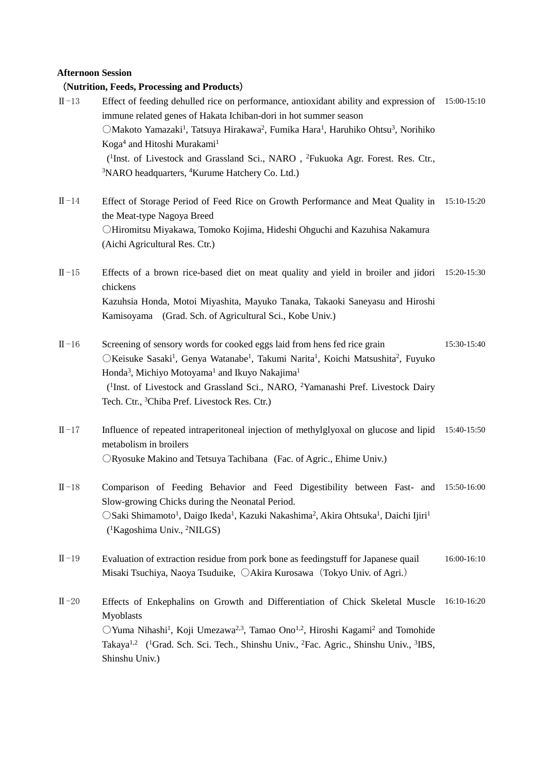#### **Afternoon Session**

### (**Nutrition, Feeds, Processing and Products**)

- Ⅱ-13 Effect of feeding dehulled rice on performance, antioxidant ability and expression of 15:00-15:10 immune related genes of Hakata Ichiban-dori in hot summer season OMakoto Yamazaki<sup>1</sup>, Tatsuya Hirakawa<sup>2</sup>, Fumika Hara<sup>1</sup>, Haruhiko Ohtsu<sup>3</sup>, Norihiko Koga<sup>4</sup> and Hitoshi Murakami<sup>1</sup> (<sup>1</sup>Inst. of Livestock and Grassland Sci., NARO, <sup>2</sup>Fukuoka Agr. Forest. Res. Ctr., <sup>3</sup>NARO headquarters, <sup>4</sup>Kurume Hatchery Co. Ltd.)
- Ⅱ-14 Effect of Storage Period of Feed Rice on Growth Performance and Meat Quality in 15:10-15:20 the Meat-type Nagoya Breed ○Hiromitsu Miyakawa, Tomoko Kojima, Hideshi Ohguchi and Kazuhisa Nakamura (Aichi Agricultural Res. Ctr.)
- Ⅱ-15 Effects of a brown rice-based diet on meat quality and yield in broiler and jidori 15:20-15:30 chickens Kazuhsia Honda, Motoi Miyashita, Mayuko Tanaka, Takaoki Saneyasu and Hiroshi Kamisoyama (Grad. Sch. of Agricultural Sci., Kobe Univ.)
- Ⅱ-16 Screening of sensory words for cooked eggs laid from hens fed rice grain OKeisuke Sasaki<sup>1</sup>, Genya Watanabe<sup>1</sup>, Takumi Narita<sup>1</sup>, Koichi Matsushita<sup>2</sup>, Fuyuko Honda<sup>3</sup>, Michiyo Motoyama<sup>1</sup> and Ikuyo Nakajima<sup>1</sup> (1Inst. of Livestock and Grassland Sci., NARO, 2Yamanashi Pref. Livestock Dairy Tech. Ctr., 3Chiba Pref. Livestock Res. Ctr.) 15:30-15:40
- Ⅱ-17 Influence of repeated intraperitoneal injection of methylglyoxal on glucose and lipid 15:40-15:50 metabolism in broilers ○Ryosuke Makino and Tetsuya Tachibana (Fac. of Agric., Ehime Univ.)
- Ⅱ-18 Comparison of Feeding Behavior and Feed Digestibility between Fast- and 15:50-16:00 Slow-growing Chicks during the Neonatal Period. OSaki Shimamoto<sup>1</sup>, Daigo Ikeda<sup>1</sup>, Kazuki Nakashima<sup>2</sup>, Akira Ohtsuka<sup>1</sup>, Daichi Ijiri<sup>1</sup> ( 1Kagoshima Univ., 2NILGS)
- Ⅱ-19 Evaluation of extraction residue from pork bone as feedingstuff for Japanese quail Misaki Tsuchiya, Naoya Tsuduike,  $\bigcirc$ Akira Kurosawa (Tokyo Univ. of Agri.) 16:00-16:10
- Ⅱ-20 Effects of Enkephalins on Growth and Differentiation of Chick Skeletal Muscle 16:10-16:20Myoblasts  $OY$ uma Nihashi<sup>1</sup>, Koji Umezawa<sup>2,3</sup>, Tamao Ono<sup>1,2</sup>, Hiroshi Kagami<sup>2</sup> and Tomohide Takaya<sup>1,2</sup> (<sup>1</sup>Grad. Sch. Sci. Tech., Shinshu Univ., <sup>2</sup>Fac. Agric., Shinshu Univ., <sup>3</sup>IBS, Shinshu Univ.)